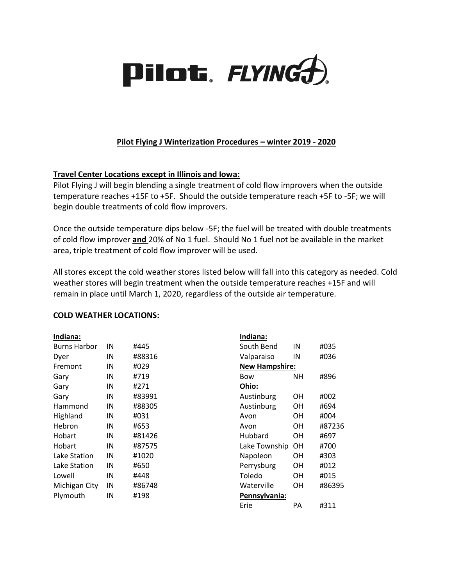

## **Pilot Flying J Winterization Procedures – winter 2019 - 2020**

## **Travel Center Locations except in Illinois and Iowa:**

Pilot Flying J will begin blending a single treatment of cold flow improvers when the outside temperature reaches +15F to +5F. Should the outside temperature reach +5F to -5F; we will begin double treatments of cold flow improvers.

Once the outside temperature dips below -5F; the fuel will be treated with double treatments of cold flow improver **and** 20% of No 1 fuel. Should No 1 fuel not be available in the market area, triple treatment of cold flow improver will be used.

All stores except the cold weather stores listed below will fall into this category as needed. Cold weather stores will begin treatment when the outside temperature reaches +15F and will remain in place until March 1, 2020, regardless of the outside air temperature.

## **COLD WEATHER LOCATIONS:**

| Indiana:            |    |        | Indiana:              |           |        |
|---------------------|----|--------|-----------------------|-----------|--------|
| <b>Burns Harbor</b> | IN | #445   | South Bend            | IN        | #035   |
| Dyer                | IN | #88316 | Valparaiso            | IN        | #036   |
| Fremont             | IN | #029   | <b>New Hampshire:</b> |           |        |
| Gary                | IN | #719   | <b>Bow</b>            | NΗ        | #896   |
| Gary                | IN | #271   | Ohio:                 |           |        |
| Gary                | IN | #83991 | Austinburg            | OН        | #002   |
| Hammond             | IN | #88305 | Austinburg            | OН        | #694   |
| Highland            | IN | #031   | Avon                  | OН        | #004   |
| Hebron              | IN | #653   | Avon                  | <b>OH</b> | #87236 |
| Hobart              | IN | #81426 | Hubbard               | <b>OH</b> | #697   |
| Hobart              | IN | #87575 | Lake Township         | OH        | #700   |
| Lake Station        | IN | #1020  | Napoleon              | <b>OH</b> | #303   |
| Lake Station        | IN | #650   | Perrysburg            | <b>OH</b> | #012   |
| Lowell              | IN | #448   | Toledo                | OН        | #015   |
| Michigan City       | IN | #86748 | Waterville            | <b>OH</b> | #86395 |
| Plymouth            | IN | #198   | Pennsylvania:         |           |        |
|                     |    |        | Erie                  | PA        | #311   |